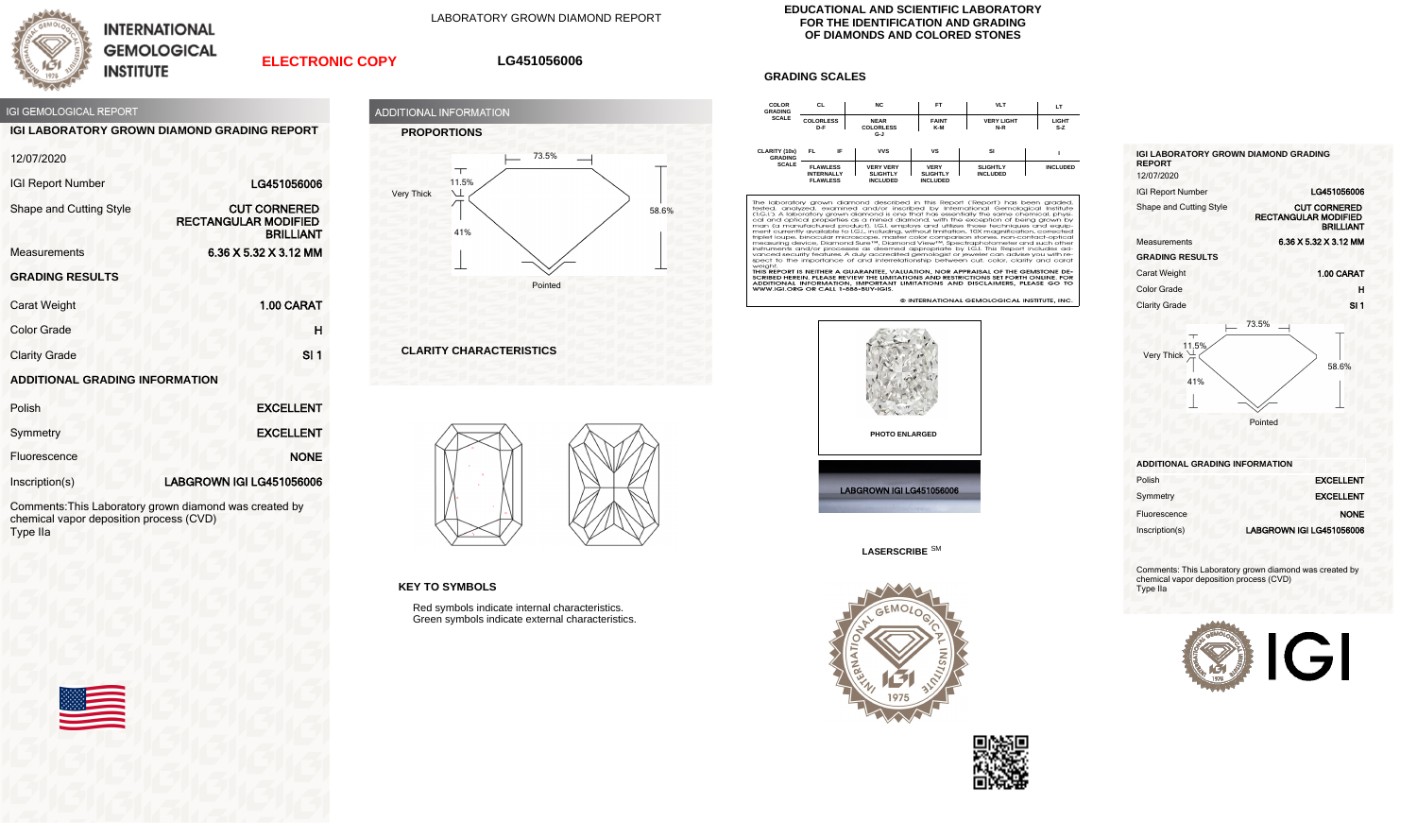

**INTERNATIONAL GEMOLOGICAL INSTITUTE** 

LABORATORY GROWN DIAMOND REPORT

## **ELECTRONIC COPY**

## **LG451056006**



**IGI LABORATORY GROWN DIAMOND GRADING REPORT**

| 12/07/2020                            |                                                                        |
|---------------------------------------|------------------------------------------------------------------------|
| <b>IGI Report Number</b>              | LG451056006                                                            |
| Shape and Cutting Style               | <b>CUT CORNERED</b><br><b>RECTANGULAR MODIFIED</b><br><b>BRILLIANT</b> |
| <b>Measurements</b>                   | 6.36 X 5.32 X 3.12 MM                                                  |
| <b>GRADING RESULTS</b>                |                                                                        |
| <b>Carat Weight</b>                   | 1.00 CARAT                                                             |
| <b>Color Grade</b>                    | н                                                                      |
| <b>Clarity Grade</b>                  | SI <sub>1</sub>                                                        |
| <b>ADDITIONAL GRADING INFORMATION</b> |                                                                        |

| Polish         | <b>EXCELLENT</b>         |
|----------------|--------------------------|
| Symmetry       | <b>EXCELLENT</b>         |
| Fluorescence   | <b>NONE</b>              |
| Inscription(s) | LABGROWN IGI LG451056006 |

Comments:This Laboratory grown diamond was created by chemical vapor deposition process (CVD) Type IIa





**CLARITY CHARACTERISTICS**



**KEY TO SYMBOLS**

Red symbols indicate internal characteristics. Green symbols indicate external characteristics.

## **EDUCATIONAL AND SCIENTIFIC LABORATORY FOR THE IDENTIFICATION AND GRADING OF DIAMONDS AND COLORED STONES**

## **GRADING SCALES**



The laboratory grown diamond described in this Report (Report) has been graded, tested, analyzed, examined and/or insertied by intendictional Gemological Institute (1.6.1). A laboratory grown diamond sone that has essentia spect to the importance of and interrelationship between cut, color, clarity and cara

Specific the importance of and interferencies in Detween Cut, Color, Ciamy and Cardi<br>THIS REPORT IS NEITHER A GUARANTEE, VALUATION, NOR APPRAISAL OF THE GEMSTONE DE-<br>SCRIBED HEREIN. PLEASE REVIEW THE LIMITATIONS AND RESTRI

© INTERNATIONAL GEMOLOGICAL INSTITUTE, INC





**LASERSCRIBE** SM





| <b>IGI LABORATORY GROWN DIAMOND GRADING</b><br><b>REPORT</b><br>12/07/2020 |                                                                        |
|----------------------------------------------------------------------------|------------------------------------------------------------------------|
| <b>IGI Report Number</b>                                                   | LG451056006                                                            |
| Shape and Cutting Style                                                    | <b>CUT CORNERED</b><br><b>RECTANGULAR MODIFIED</b><br><b>BRILLIANT</b> |
| Measurements                                                               | 6.36 X 5.32 X 3.12 MM                                                  |
| <b>GRADING RESULTS</b>                                                     |                                                                        |
| <b>Carat Weight</b>                                                        | 1.00 CARAT                                                             |
| Color Grade                                                                | н                                                                      |
| <b>Clarity Grade</b>                                                       | SI 1                                                                   |
|                                                                            | 73.5%                                                                  |



**ADDITIONAL GRADING INFORMATION**

| Polish         | <b>EXCELLENT</b>         |
|----------------|--------------------------|
| Symmetry       | <b>EXCELLENT</b>         |
| Fluorescence   | <b>NONE</b>              |
| Inscription(s) | LABGROWN IGI LG451056006 |

Comments: This Laboratory grown diamond was created by chemical vapor deposition process (CVD) Type IIa